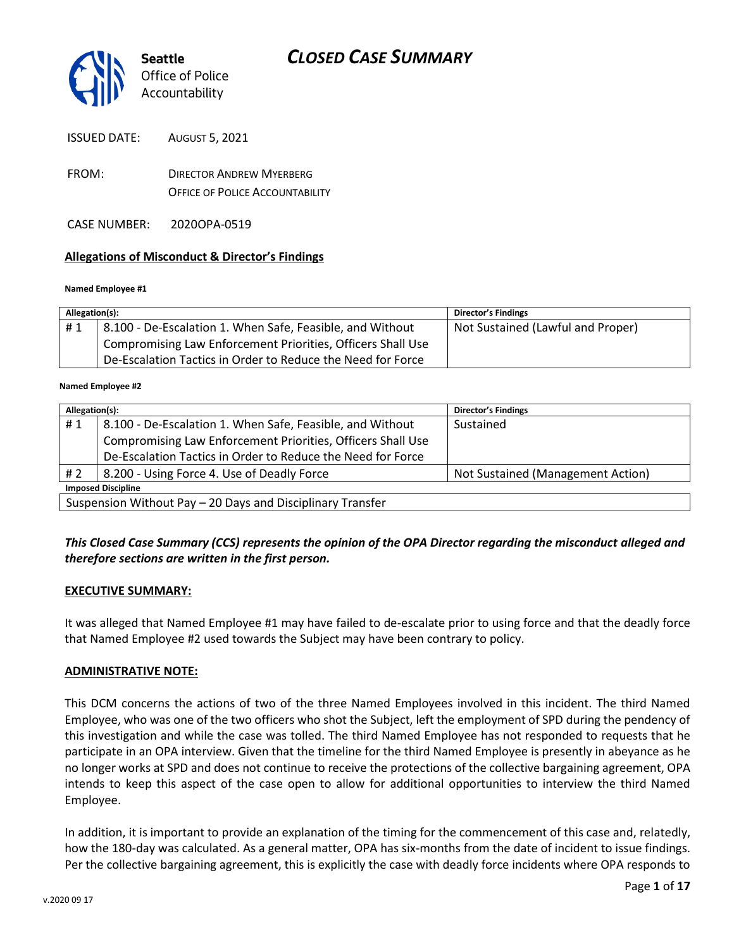

ISSUED DATE: AUGUST 5, 2021

- FROM: DIRECTOR ANDREW MYERBERG OFFICE OF POLICE ACCOUNTABILITY
- CASE NUMBER: 2020OPA-0519

#### **Allegations of Misconduct & Director's Findings**

#### **Named Employee #1**

| Allegation(s): |                                                             | <b>Director's Findings</b>        |
|----------------|-------------------------------------------------------------|-----------------------------------|
| #1             | 8.100 - De-Escalation 1. When Safe, Feasible, and Without   | Not Sustained (Lawful and Proper) |
|                | Compromising Law Enforcement Priorities, Officers Shall Use |                                   |
|                | De-Escalation Tactics in Order to Reduce the Need for Force |                                   |

#### **Named Employee #2**

| Allegation(s):                                             |                                                             | Director's Findings               |  |
|------------------------------------------------------------|-------------------------------------------------------------|-----------------------------------|--|
| #1                                                         | 8.100 - De-Escalation 1. When Safe, Feasible, and Without   | Sustained                         |  |
|                                                            | Compromising Law Enforcement Priorities, Officers Shall Use |                                   |  |
|                                                            | De-Escalation Tactics in Order to Reduce the Need for Force |                                   |  |
| #2                                                         | 8.200 - Using Force 4. Use of Deadly Force                  | Not Sustained (Management Action) |  |
| <b>Imposed Discipline</b>                                  |                                                             |                                   |  |
| Suspension Without Pay - 20 Days and Disciplinary Transfer |                                                             |                                   |  |

#### *This Closed Case Summary (CCS) represents the opinion of the OPA Director regarding the misconduct alleged and therefore sections are written in the first person.*

#### **EXECUTIVE SUMMARY:**

It was alleged that Named Employee #1 may have failed to de-escalate prior to using force and that the deadly force that Named Employee #2 used towards the Subject may have been contrary to policy.

#### **ADMINISTRATIVE NOTE:**

This DCM concerns the actions of two of the three Named Employees involved in this incident. The third Named Employee, who was one of the two officers who shot the Subject, left the employment of SPD during the pendency of this investigation and while the case was tolled. The third Named Employee has not responded to requests that he participate in an OPA interview. Given that the timeline for the third Named Employee is presently in abeyance as he no longer works at SPD and does not continue to receive the protections of the collective bargaining agreement, OPA intends to keep this aspect of the case open to allow for additional opportunities to interview the third Named Employee.

In addition, it is important to provide an explanation of the timing for the commencement of this case and, relatedly, how the 180-day was calculated. As a general matter, OPA has six-months from the date of incident to issue findings. Per the collective bargaining agreement, this is explicitly the case with deadly force incidents where OPA responds to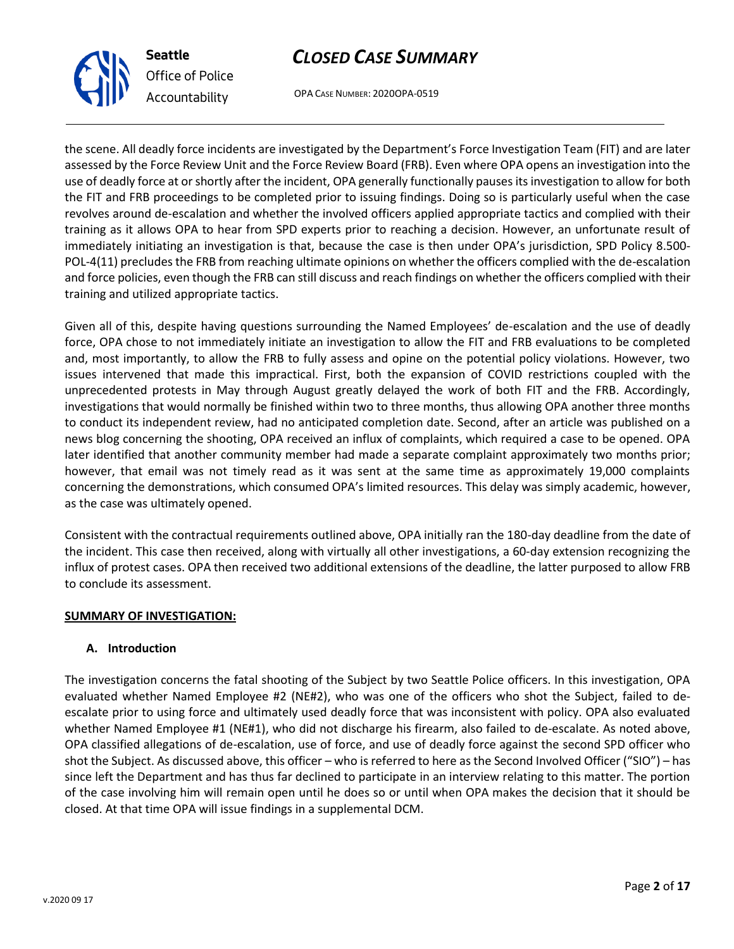OPA CASE NUMBER: 2020OPA-0519

the scene. All deadly force incidents are investigated by the Department's Force Investigation Team (FIT) and are later assessed by the Force Review Unit and the Force Review Board (FRB). Even where OPA opens an investigation into the use of deadly force at or shortly after the incident, OPA generally functionally pauses its investigation to allow for both the FIT and FRB proceedings to be completed prior to issuing findings. Doing so is particularly useful when the case revolves around de-escalation and whether the involved officers applied appropriate tactics and complied with their training as it allows OPA to hear from SPD experts prior to reaching a decision. However, an unfortunate result of immediately initiating an investigation is that, because the case is then under OPA's jurisdiction, SPD Policy 8.500- POL-4(11) precludes the FRB from reaching ultimate opinions on whether the officers complied with the de-escalation and force policies, even though the FRB can still discuss and reach findings on whether the officers complied with their training and utilized appropriate tactics.

Given all of this, despite having questions surrounding the Named Employees' de-escalation and the use of deadly force, OPA chose to not immediately initiate an investigation to allow the FIT and FRB evaluations to be completed and, most importantly, to allow the FRB to fully assess and opine on the potential policy violations. However, two issues intervened that made this impractical. First, both the expansion of COVID restrictions coupled with the unprecedented protests in May through August greatly delayed the work of both FIT and the FRB. Accordingly, investigations that would normally be finished within two to three months, thus allowing OPA another three months to conduct its independent review, had no anticipated completion date. Second, after an article was published on a news blog concerning the shooting, OPA received an influx of complaints, which required a case to be opened. OPA later identified that another community member had made a separate complaint approximately two months prior; however, that email was not timely read as it was sent at the same time as approximately 19,000 complaints concerning the demonstrations, which consumed OPA's limited resources. This delay was simply academic, however, as the case was ultimately opened.

Consistent with the contractual requirements outlined above, OPA initially ran the 180-day deadline from the date of the incident. This case then received, along with virtually all other investigations, a 60-day extension recognizing the influx of protest cases. OPA then received two additional extensions of the deadline, the latter purposed to allow FRB to conclude its assessment.

#### **SUMMARY OF INVESTIGATION:**

#### **A. Introduction**

The investigation concerns the fatal shooting of the Subject by two Seattle Police officers. In this investigation, OPA evaluated whether Named Employee #2 (NE#2), who was one of the officers who shot the Subject, failed to deescalate prior to using force and ultimately used deadly force that was inconsistent with policy. OPA also evaluated whether Named Employee #1 (NE#1), who did not discharge his firearm, also failed to de-escalate. As noted above, OPA classified allegations of de-escalation, use of force, and use of deadly force against the second SPD officer who shot the Subject. As discussed above, this officer – who is referred to here as the Second Involved Officer ("SIO") – has since left the Department and has thus far declined to participate in an interview relating to this matter. The portion of the case involving him will remain open until he does so or until when OPA makes the decision that it should be closed. At that time OPA will issue findings in a supplemental DCM.



**Seattle**

*Office of Police Accountability*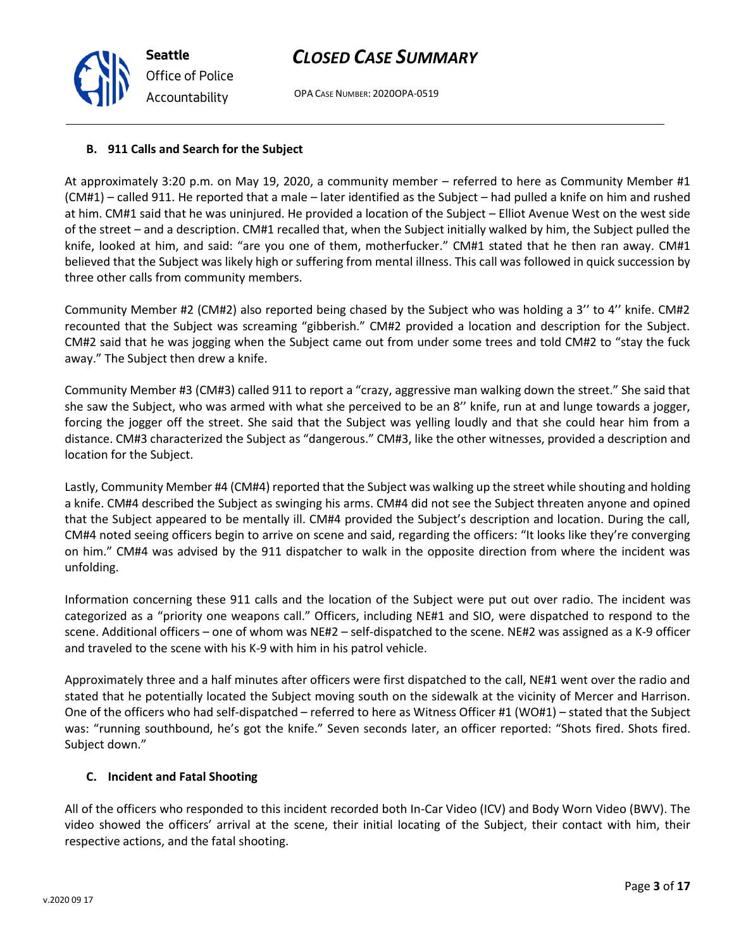OPA CASE NUMBER: 2020OPA-0519

### **B. 911 Calls and Search for the Subject**

At approximately 3:20 p.m. on May 19, 2020, a community member – referred to here as Community Member #1 (CM#1) – called 911. He reported that a male – later identified as the Subject – had pulled a knife on him and rushed at him. CM#1 said that he was uninjured. He provided a location of the Subject – Elliot Avenue West on the west side of the street – and a description. CM#1 recalled that, when the Subject initially walked by him, the Subject pulled the knife, looked at him, and said: "are you one of them, motherfucker." CM#1 stated that he then ran away. CM#1 believed that the Subject was likely high or suffering from mental illness. This call was followed in quick succession by three other calls from community members.

Community Member #2 (CM#2) also reported being chased by the Subject who was holding a 3'' to 4'' knife. CM#2 recounted that the Subject was screaming "gibberish." CM#2 provided a location and description for the Subject. CM#2 said that he was jogging when the Subject came out from under some trees and told CM#2 to "stay the fuck away." The Subject then drew a knife.

Community Member #3 (CM#3) called 911 to report a "crazy, aggressive man walking down the street." She said that she saw the Subject, who was armed with what she perceived to be an 8'' knife, run at and lunge towards a jogger, forcing the jogger off the street. She said that the Subject was yelling loudly and that she could hear him from a distance. CM#3 characterized the Subject as "dangerous." CM#3, like the other witnesses, provided a description and location for the Subject.

Lastly, Community Member #4 (CM#4) reported that the Subject was walking up the street while shouting and holding a knife. CM#4 described the Subject as swinging his arms. CM#4 did not see the Subject threaten anyone and opined that the Subject appeared to be mentally ill. CM#4 provided the Subject's description and location. During the call, CM#4 noted seeing officers begin to arrive on scene and said, regarding the officers: "It looks like they're converging on him." CM#4 was advised by the 911 dispatcher to walk in the opposite direction from where the incident was unfolding.

Information concerning these 911 calls and the location of the Subject were put out over radio. The incident was categorized as a "priority one weapons call." Officers, including NE#1 and SIO, were dispatched to respond to the scene. Additional officers – one of whom was NE#2 – self-dispatched to the scene. NE#2 was assigned as a K-9 officer and traveled to the scene with his K-9 with him in his patrol vehicle.

Approximately three and a half minutes after officers were first dispatched to the call, NE#1 went over the radio and stated that he potentially located the Subject moving south on the sidewalk at the vicinity of Mercer and Harrison. One of the officers who had self-dispatched – referred to here as Witness Officer #1 (WO#1) – stated that the Subject was: "running southbound, he's got the knife." Seven seconds later, an officer reported: "Shots fired. Shots fired. Subject down."

### **C. Incident and Fatal Shooting**

All of the officers who responded to this incident recorded both In-Car Video (ICV) and Body Worn Video (BWV). The video showed the officers' arrival at the scene, their initial locating of the Subject, their contact with him, their respective actions, and the fatal shooting.

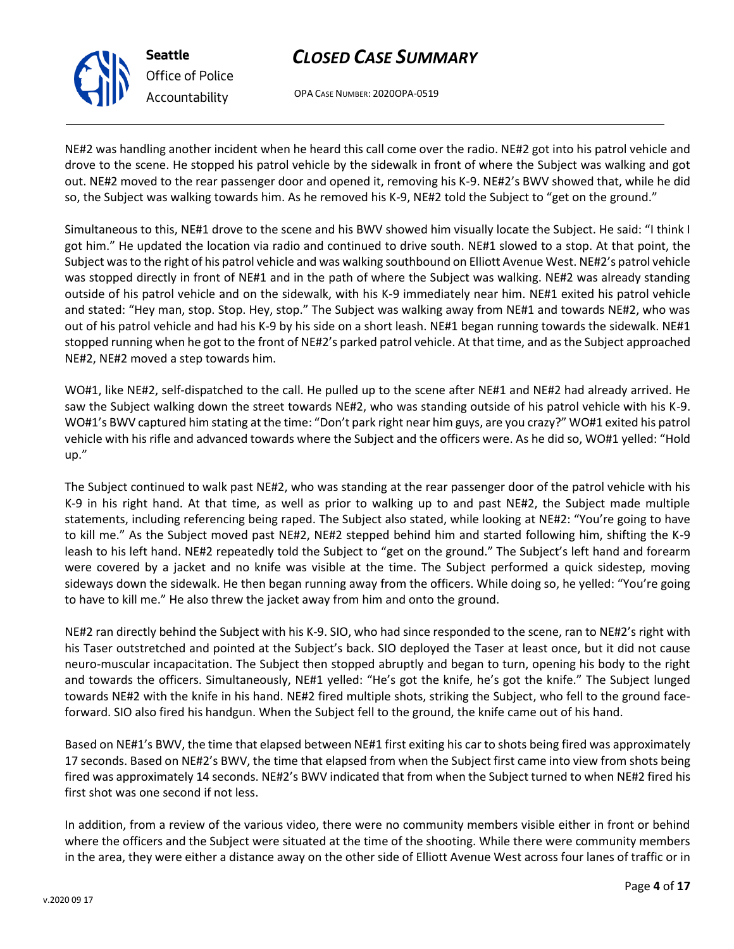

**Seattle** *Office of Police Accountability*

### *CLOSED CASE SUMMARY*

OPA CASE NUMBER: 2020OPA-0519

NE#2 was handling another incident when he heard this call come over the radio. NE#2 got into his patrol vehicle and drove to the scene. He stopped his patrol vehicle by the sidewalk in front of where the Subject was walking and got out. NE#2 moved to the rear passenger door and opened it, removing his K-9. NE#2's BWV showed that, while he did so, the Subject was walking towards him. As he removed his K-9, NE#2 told the Subject to "get on the ground."

Simultaneous to this, NE#1 drove to the scene and his BWV showed him visually locate the Subject. He said: "I think I got him." He updated the location via radio and continued to drive south. NE#1 slowed to a stop. At that point, the Subject was to the right of his patrol vehicle and was walking southbound on Elliott Avenue West. NE#2's patrol vehicle was stopped directly in front of NE#1 and in the path of where the Subject was walking. NE#2 was already standing outside of his patrol vehicle and on the sidewalk, with his K-9 immediately near him. NE#1 exited his patrol vehicle and stated: "Hey man, stop. Stop. Hey, stop." The Subject was walking away from NE#1 and towards NE#2, who was out of his patrol vehicle and had his K-9 by his side on a short leash. NE#1 began running towards the sidewalk. NE#1 stopped running when he got to the front of NE#2's parked patrol vehicle. At that time, and as the Subject approached NE#2, NE#2 moved a step towards him.

WO#1, like NE#2, self-dispatched to the call. He pulled up to the scene after NE#1 and NE#2 had already arrived. He saw the Subject walking down the street towards NE#2, who was standing outside of his patrol vehicle with his K-9. WO#1's BWV captured him stating at the time: "Don't park right near him guys, are you crazy?" WO#1 exited his patrol vehicle with his rifle and advanced towards where the Subject and the officers were. As he did so, WO#1 yelled: "Hold up."

The Subject continued to walk past NE#2, who was standing at the rear passenger door of the patrol vehicle with his K-9 in his right hand. At that time, as well as prior to walking up to and past NE#2, the Subject made multiple statements, including referencing being raped. The Subject also stated, while looking at NE#2: "You're going to have to kill me." As the Subject moved past NE#2, NE#2 stepped behind him and started following him, shifting the K-9 leash to his left hand. NE#2 repeatedly told the Subject to "get on the ground." The Subject's left hand and forearm were covered by a jacket and no knife was visible at the time. The Subject performed a quick sidestep, moving sideways down the sidewalk. He then began running away from the officers. While doing so, he yelled: "You're going to have to kill me." He also threw the jacket away from him and onto the ground.

NE#2 ran directly behind the Subject with his K-9. SIO, who had since responded to the scene, ran to NE#2's right with his Taser outstretched and pointed at the Subject's back. SIO deployed the Taser at least once, but it did not cause neuro-muscular incapacitation. The Subject then stopped abruptly and began to turn, opening his body to the right and towards the officers. Simultaneously, NE#1 yelled: "He's got the knife, he's got the knife." The Subject lunged towards NE#2 with the knife in his hand. NE#2 fired multiple shots, striking the Subject, who fell to the ground faceforward. SIO also fired his handgun. When the Subject fell to the ground, the knife came out of his hand.

Based on NE#1's BWV, the time that elapsed between NE#1 first exiting his car to shots being fired was approximately 17 seconds. Based on NE#2's BWV, the time that elapsed from when the Subject first came into view from shots being fired was approximately 14 seconds. NE#2's BWV indicated that from when the Subject turned to when NE#2 fired his first shot was one second if not less.

In addition, from a review of the various video, there were no community members visible either in front or behind where the officers and the Subject were situated at the time of the shooting. While there were community members in the area, they were either a distance away on the other side of Elliott Avenue West across four lanes of traffic or in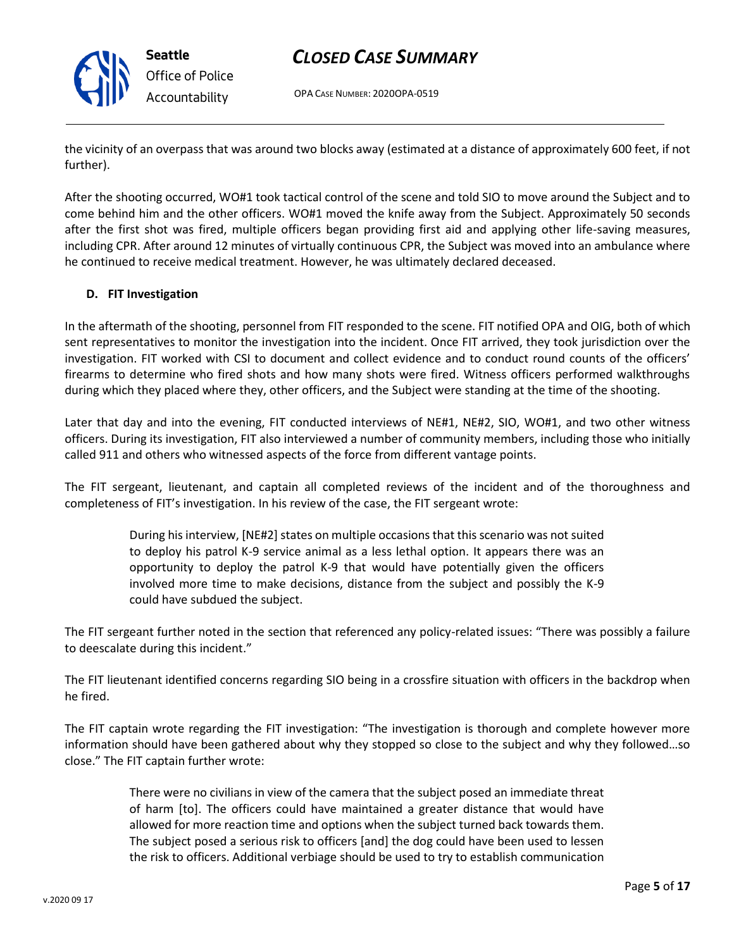OPA CASE NUMBER: 2020OPA-0519

the vicinity of an overpass that was around two blocks away (estimated at a distance of approximately 600 feet, if not further).

After the shooting occurred, WO#1 took tactical control of the scene and told SIO to move around the Subject and to come behind him and the other officers. WO#1 moved the knife away from the Subject. Approximately 50 seconds after the first shot was fired, multiple officers began providing first aid and applying other life-saving measures, including CPR. After around 12 minutes of virtually continuous CPR, the Subject was moved into an ambulance where he continued to receive medical treatment. However, he was ultimately declared deceased.

#### **D. FIT Investigation**

In the aftermath of the shooting, personnel from FIT responded to the scene. FIT notified OPA and OIG, both of which sent representatives to monitor the investigation into the incident. Once FIT arrived, they took jurisdiction over the investigation. FIT worked with CSI to document and collect evidence and to conduct round counts of the officers' firearms to determine who fired shots and how many shots were fired. Witness officers performed walkthroughs during which they placed where they, other officers, and the Subject were standing at the time of the shooting.

Later that day and into the evening, FIT conducted interviews of NE#1, NE#2, SIO, WO#1, and two other witness officers. During its investigation, FIT also interviewed a number of community members, including those who initially called 911 and others who witnessed aspects of the force from different vantage points.

The FIT sergeant, lieutenant, and captain all completed reviews of the incident and of the thoroughness and completeness of FIT's investigation. In his review of the case, the FIT sergeant wrote:

> During his interview, [NE#2] states on multiple occasions that this scenario was not suited to deploy his patrol K-9 service animal as a less lethal option. It appears there was an opportunity to deploy the patrol K-9 that would have potentially given the officers involved more time to make decisions, distance from the subject and possibly the K-9 could have subdued the subject.

The FIT sergeant further noted in the section that referenced any policy-related issues: "There was possibly a failure to deescalate during this incident."

The FIT lieutenant identified concerns regarding SIO being in a crossfire situation with officers in the backdrop when he fired.

The FIT captain wrote regarding the FIT investigation: "The investigation is thorough and complete however more information should have been gathered about why they stopped so close to the subject and why they followed…so close." The FIT captain further wrote:

> There were no civilians in view of the camera that the subject posed an immediate threat of harm [to]. The officers could have maintained a greater distance that would have allowed for more reaction time and options when the subject turned back towards them. The subject posed a serious risk to officers [and] the dog could have been used to lessen the risk to officers. Additional verbiage should be used to try to establish communication



**Seattle** *Office of Police Accountability*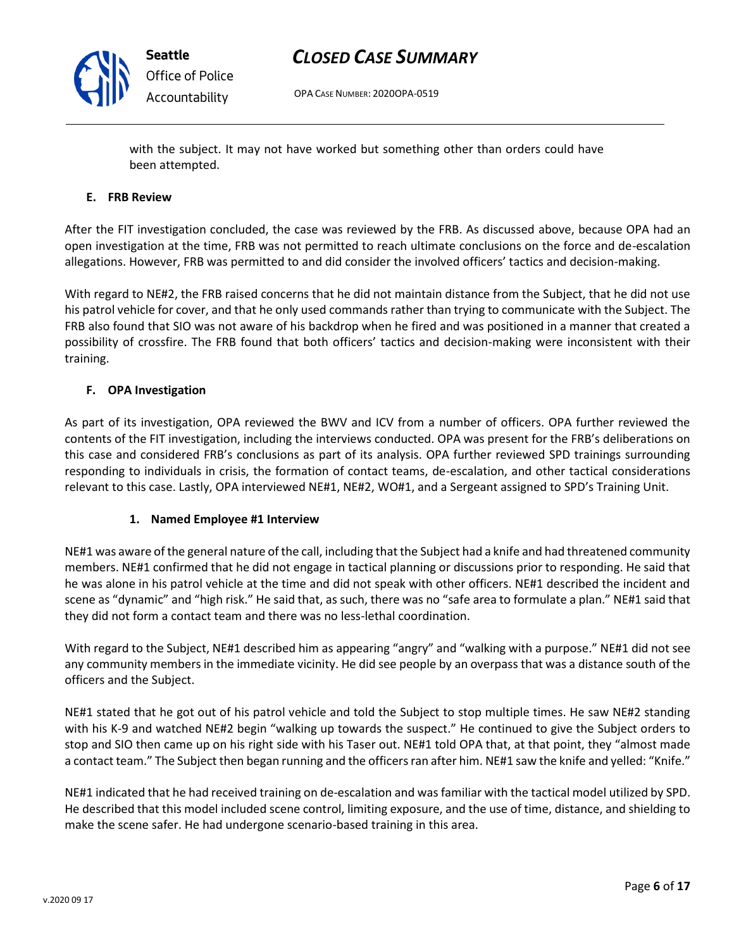

OPA CASE NUMBER: 2020OPA-0519

with the subject. It may not have worked but something other than orders could have been attempted.

#### **E. FRB Review**

After the FIT investigation concluded, the case was reviewed by the FRB. As discussed above, because OPA had an open investigation at the time, FRB was not permitted to reach ultimate conclusions on the force and de-escalation allegations. However, FRB was permitted to and did consider the involved officers' tactics and decision-making.

With regard to NE#2, the FRB raised concerns that he did not maintain distance from the Subject, that he did not use his patrol vehicle for cover, and that he only used commands rather than trying to communicate with the Subject. The FRB also found that SIO was not aware of his backdrop when he fired and was positioned in a manner that created a possibility of crossfire. The FRB found that both officers' tactics and decision-making were inconsistent with their training.

#### **F. OPA Investigation**

As part of its investigation, OPA reviewed the BWV and ICV from a number of officers. OPA further reviewed the contents of the FIT investigation, including the interviews conducted. OPA was present for the FRB's deliberations on this case and considered FRB's conclusions as part of its analysis. OPA further reviewed SPD trainings surrounding responding to individuals in crisis, the formation of contact teams, de-escalation, and other tactical considerations relevant to this case. Lastly, OPA interviewed NE#1, NE#2, WO#1, and a Sergeant assigned to SPD's Training Unit.

#### **1. Named Employee #1 Interview**

NE#1 was aware of the general nature of the call, including that the Subject had a knife and had threatened community members. NE#1 confirmed that he did not engage in tactical planning or discussions prior to responding. He said that he was alone in his patrol vehicle at the time and did not speak with other officers. NE#1 described the incident and scene as "dynamic" and "high risk." He said that, as such, there was no "safe area to formulate a plan." NE#1 said that they did not form a contact team and there was no less-lethal coordination.

With regard to the Subject, NE#1 described him as appearing "angry" and "walking with a purpose." NE#1 did not see any community members in the immediate vicinity. He did see people by an overpass that was a distance south of the officers and the Subject.

NE#1 stated that he got out of his patrol vehicle and told the Subject to stop multiple times. He saw NE#2 standing with his K-9 and watched NE#2 begin "walking up towards the suspect." He continued to give the Subject orders to stop and SIO then came up on his right side with his Taser out. NE#1 told OPA that, at that point, they "almost made a contact team." The Subject then began running and the officers ran after him. NE#1 saw the knife and yelled: "Knife."

NE#1 indicated that he had received training on de-escalation and was familiar with the tactical model utilized by SPD. He described that this model included scene control, limiting exposure, and the use of time, distance, and shielding to make the scene safer. He had undergone scenario-based training in this area.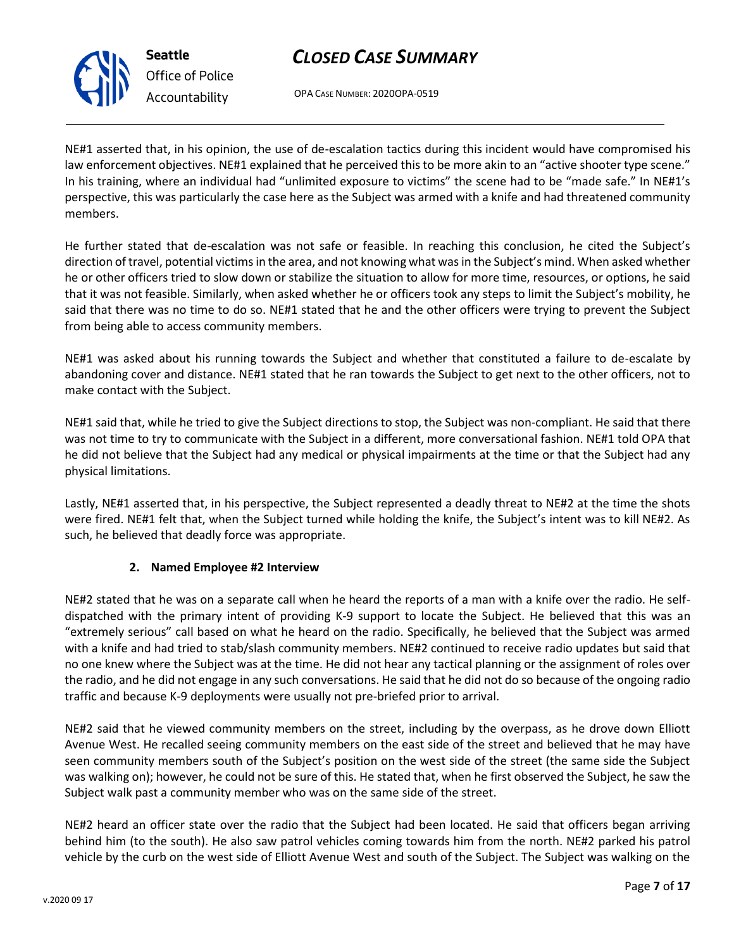

**Seattle** *Office of Police Accountability*

### *CLOSED CASE SUMMARY*

OPA CASE NUMBER: 2020OPA-0519

NE#1 asserted that, in his opinion, the use of de-escalation tactics during this incident would have compromised his law enforcement objectives. NE#1 explained that he perceived this to be more akin to an "active shooter type scene." In his training, where an individual had "unlimited exposure to victims" the scene had to be "made safe." In NE#1's perspective, this was particularly the case here as the Subject was armed with a knife and had threatened community members.

He further stated that de-escalation was not safe or feasible. In reaching this conclusion, he cited the Subject's direction of travel, potential victims in the area, and not knowing what was in the Subject's mind. When asked whether he or other officers tried to slow down or stabilize the situation to allow for more time, resources, or options, he said that it was not feasible. Similarly, when asked whether he or officers took any steps to limit the Subject's mobility, he said that there was no time to do so. NE#1 stated that he and the other officers were trying to prevent the Subject from being able to access community members.

NE#1 was asked about his running towards the Subject and whether that constituted a failure to de-escalate by abandoning cover and distance. NE#1 stated that he ran towards the Subject to get next to the other officers, not to make contact with the Subject.

NE#1 said that, while he tried to give the Subject directions to stop, the Subject was non-compliant. He said that there was not time to try to communicate with the Subject in a different, more conversational fashion. NE#1 told OPA that he did not believe that the Subject had any medical or physical impairments at the time or that the Subject had any physical limitations.

Lastly, NE#1 asserted that, in his perspective, the Subject represented a deadly threat to NE#2 at the time the shots were fired. NE#1 felt that, when the Subject turned while holding the knife, the Subject's intent was to kill NE#2. As such, he believed that deadly force was appropriate.

#### **2. Named Employee #2 Interview**

NE#2 stated that he was on a separate call when he heard the reports of a man with a knife over the radio. He selfdispatched with the primary intent of providing K-9 support to locate the Subject. He believed that this was an "extremely serious" call based on what he heard on the radio. Specifically, he believed that the Subject was armed with a knife and had tried to stab/slash community members. NE#2 continued to receive radio updates but said that no one knew where the Subject was at the time. He did not hear any tactical planning or the assignment of roles over the radio, and he did not engage in any such conversations. He said that he did not do so because of the ongoing radio traffic and because K-9 deployments were usually not pre-briefed prior to arrival.

NE#2 said that he viewed community members on the street, including by the overpass, as he drove down Elliott Avenue West. He recalled seeing community members on the east side of the street and believed that he may have seen community members south of the Subject's position on the west side of the street (the same side the Subject was walking on); however, he could not be sure of this. He stated that, when he first observed the Subject, he saw the Subject walk past a community member who was on the same side of the street.

NE#2 heard an officer state over the radio that the Subject had been located. He said that officers began arriving behind him (to the south). He also saw patrol vehicles coming towards him from the north. NE#2 parked his patrol vehicle by the curb on the west side of Elliott Avenue West and south of the Subject. The Subject was walking on the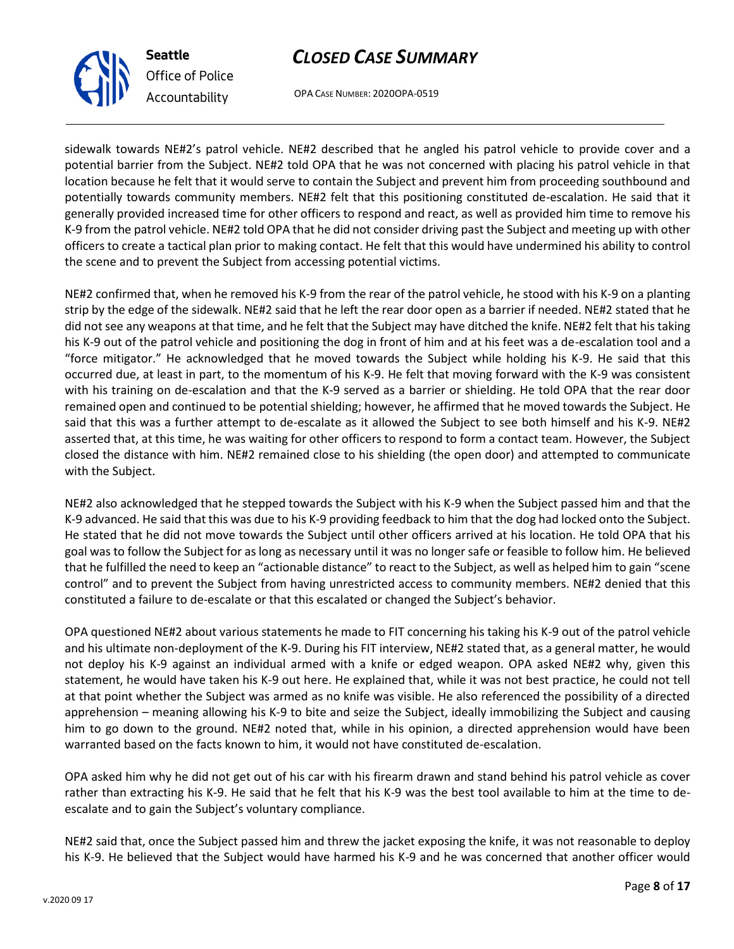OPA CASE NUMBER: 2020OPA-0519

sidewalk towards NE#2's patrol vehicle. NE#2 described that he angled his patrol vehicle to provide cover and a potential barrier from the Subject. NE#2 told OPA that he was not concerned with placing his patrol vehicle in that location because he felt that it would serve to contain the Subject and prevent him from proceeding southbound and potentially towards community members. NE#2 felt that this positioning constituted de-escalation. He said that it generally provided increased time for other officers to respond and react, as well as provided him time to remove his K-9 from the patrol vehicle. NE#2 told OPA that he did not consider driving past the Subject and meeting up with other officers to create a tactical plan prior to making contact. He felt that this would have undermined his ability to control the scene and to prevent the Subject from accessing potential victims.

NE#2 confirmed that, when he removed his K-9 from the rear of the patrol vehicle, he stood with his K-9 on a planting strip by the edge of the sidewalk. NE#2 said that he left the rear door open as a barrier if needed. NE#2 stated that he did not see any weapons at that time, and he felt that the Subject may have ditched the knife. NE#2 felt that his taking his K-9 out of the patrol vehicle and positioning the dog in front of him and at his feet was a de-escalation tool and a "force mitigator." He acknowledged that he moved towards the Subject while holding his K-9. He said that this occurred due, at least in part, to the momentum of his K-9. He felt that moving forward with the K-9 was consistent with his training on de-escalation and that the K-9 served as a barrier or shielding. He told OPA that the rear door remained open and continued to be potential shielding; however, he affirmed that he moved towards the Subject. He said that this was a further attempt to de-escalate as it allowed the Subject to see both himself and his K-9. NE#2 asserted that, at this time, he was waiting for other officers to respond to form a contact team. However, the Subject closed the distance with him. NE#2 remained close to his shielding (the open door) and attempted to communicate with the Subject.

NE#2 also acknowledged that he stepped towards the Subject with his K-9 when the Subject passed him and that the K-9 advanced. He said that this was due to his K-9 providing feedback to him that the dog had locked onto the Subject. He stated that he did not move towards the Subject until other officers arrived at his location. He told OPA that his goal was to follow the Subject for as long as necessary until it was no longer safe or feasible to follow him. He believed that he fulfilled the need to keep an "actionable distance" to react to the Subject, as well as helped him to gain "scene control" and to prevent the Subject from having unrestricted access to community members. NE#2 denied that this constituted a failure to de-escalate or that this escalated or changed the Subject's behavior.

OPA questioned NE#2 about various statements he made to FIT concerning his taking his K-9 out of the patrol vehicle and his ultimate non-deployment of the K-9. During his FIT interview, NE#2 stated that, as a general matter, he would not deploy his K-9 against an individual armed with a knife or edged weapon. OPA asked NE#2 why, given this statement, he would have taken his K-9 out here. He explained that, while it was not best practice, he could not tell at that point whether the Subject was armed as no knife was visible. He also referenced the possibility of a directed apprehension – meaning allowing his K-9 to bite and seize the Subject, ideally immobilizing the Subject and causing him to go down to the ground. NE#2 noted that, while in his opinion, a directed apprehension would have been warranted based on the facts known to him, it would not have constituted de-escalation.

OPA asked him why he did not get out of his car with his firearm drawn and stand behind his patrol vehicle as cover rather than extracting his K-9. He said that he felt that his K-9 was the best tool available to him at the time to deescalate and to gain the Subject's voluntary compliance.

NE#2 said that, once the Subject passed him and threw the jacket exposing the knife, it was not reasonable to deploy his K-9. He believed that the Subject would have harmed his K-9 and he was concerned that another officer would

Page **8** of **17**



**Seattle**

*Office of Police*

*Accountability*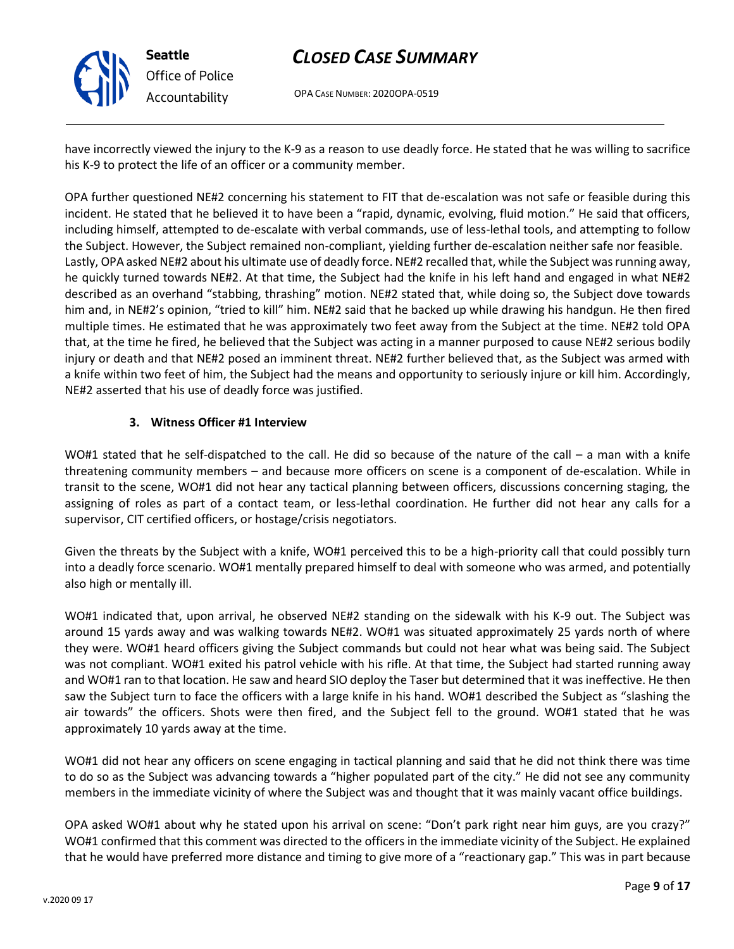

OPA CASE NUMBER: 2020OPA-0519

have incorrectly viewed the injury to the K-9 as a reason to use deadly force. He stated that he was willing to sacrifice his K-9 to protect the life of an officer or a community member.

OPA further questioned NE#2 concerning his statement to FIT that de-escalation was not safe or feasible during this incident. He stated that he believed it to have been a "rapid, dynamic, evolving, fluid motion." He said that officers, including himself, attempted to de-escalate with verbal commands, use of less-lethal tools, and attempting to follow the Subject. However, the Subject remained non-compliant, yielding further de-escalation neither safe nor feasible. Lastly, OPA asked NE#2 about his ultimate use of deadly force. NE#2 recalled that, while the Subject was running away, he quickly turned towards NE#2. At that time, the Subject had the knife in his left hand and engaged in what NE#2 described as an overhand "stabbing, thrashing" motion. NE#2 stated that, while doing so, the Subject dove towards him and, in NE#2's opinion, "tried to kill" him. NE#2 said that he backed up while drawing his handgun. He then fired multiple times. He estimated that he was approximately two feet away from the Subject at the time. NE#2 told OPA that, at the time he fired, he believed that the Subject was acting in a manner purposed to cause NE#2 serious bodily injury or death and that NE#2 posed an imminent threat. NE#2 further believed that, as the Subject was armed with a knife within two feet of him, the Subject had the means and opportunity to seriously injure or kill him. Accordingly, NE#2 asserted that his use of deadly force was justified.

#### **3. Witness Officer #1 Interview**

**Seattle**

*Office of Police Accountability*

WO#1 stated that he self-dispatched to the call. He did so because of the nature of the call – a man with a knife threatening community members – and because more officers on scene is a component of de-escalation. While in transit to the scene, WO#1 did not hear any tactical planning between officers, discussions concerning staging, the assigning of roles as part of a contact team, or less-lethal coordination. He further did not hear any calls for a supervisor, CIT certified officers, or hostage/crisis negotiators.

Given the threats by the Subject with a knife, WO#1 perceived this to be a high-priority call that could possibly turn into a deadly force scenario. WO#1 mentally prepared himself to deal with someone who was armed, and potentially also high or mentally ill.

WO#1 indicated that, upon arrival, he observed NE#2 standing on the sidewalk with his K-9 out. The Subject was around 15 yards away and was walking towards NE#2. WO#1 was situated approximately 25 yards north of where they were. WO#1 heard officers giving the Subject commands but could not hear what was being said. The Subject was not compliant. WO#1 exited his patrol vehicle with his rifle. At that time, the Subject had started running away and WO#1 ran to that location. He saw and heard SIO deploy the Taser but determined that it was ineffective. He then saw the Subject turn to face the officers with a large knife in his hand. WO#1 described the Subject as "slashing the air towards" the officers. Shots were then fired, and the Subject fell to the ground. WO#1 stated that he was approximately 10 yards away at the time.

WO#1 did not hear any officers on scene engaging in tactical planning and said that he did not think there was time to do so as the Subject was advancing towards a "higher populated part of the city." He did not see any community members in the immediate vicinity of where the Subject was and thought that it was mainly vacant office buildings.

OPA asked WO#1 about why he stated upon his arrival on scene: "Don't park right near him guys, are you crazy?" WO#1 confirmed that this comment was directed to the officers in the immediate vicinity of the Subject. He explained that he would have preferred more distance and timing to give more of a "reactionary gap." This was in part because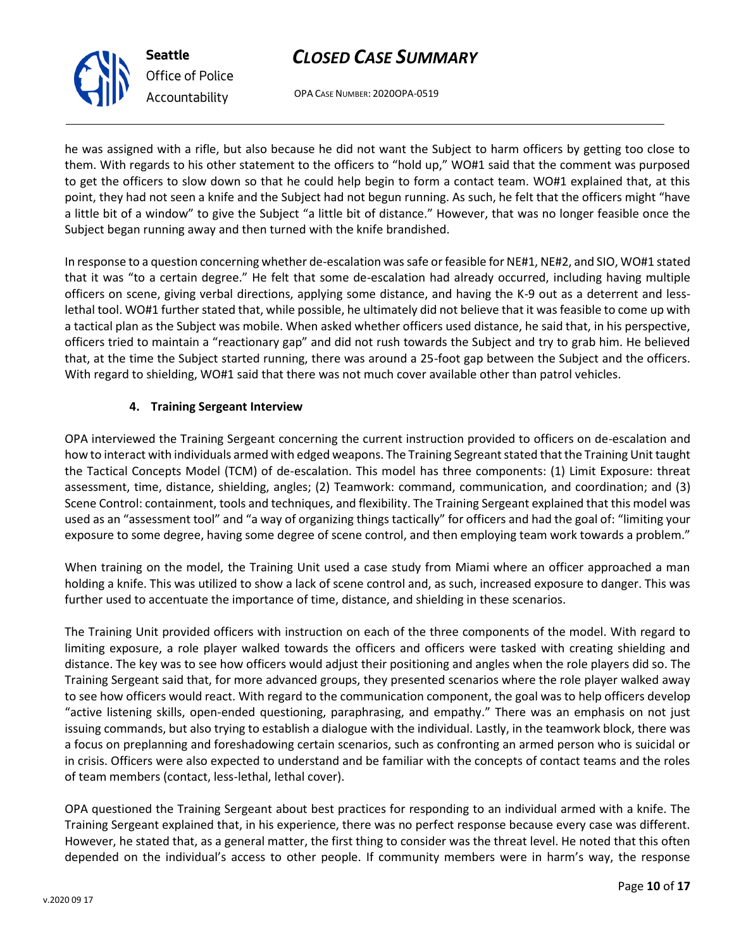OPA CASE NUMBER: 2020OPA-0519

he was assigned with a rifle, but also because he did not want the Subject to harm officers by getting too close to them. With regards to his other statement to the officers to "hold up," WO#1 said that the comment was purposed to get the officers to slow down so that he could help begin to form a contact team. WO#1 explained that, at this point, they had not seen a knife and the Subject had not begun running. As such, he felt that the officers might "have a little bit of a window" to give the Subject "a little bit of distance." However, that was no longer feasible once the Subject began running away and then turned with the knife brandished.

In response to a question concerning whether de-escalation was safe or feasible for NE#1, NE#2, and SIO, WO#1 stated that it was "to a certain degree." He felt that some de-escalation had already occurred, including having multiple officers on scene, giving verbal directions, applying some distance, and having the K-9 out as a deterrent and lesslethal tool. WO#1 further stated that, while possible, he ultimately did not believe that it was feasible to come up with a tactical plan as the Subject was mobile. When asked whether officers used distance, he said that, in his perspective, officers tried to maintain a "reactionary gap" and did not rush towards the Subject and try to grab him. He believed that, at the time the Subject started running, there was around a 25-foot gap between the Subject and the officers. With regard to shielding, WO#1 said that there was not much cover available other than patrol vehicles.

#### **4. Training Sergeant Interview**

OPA interviewed the Training Sergeant concerning the current instruction provided to officers on de-escalation and how to interact with individuals armed with edged weapons. The Training Segreant stated that the Training Unit taught the Tactical Concepts Model (TCM) of de-escalation. This model has three components: (1) Limit Exposure: threat assessment, time, distance, shielding, angles; (2) Teamwork: command, communication, and coordination; and (3) Scene Control: containment, tools and techniques, and flexibility. The Training Sergeant explained that this model was used as an "assessment tool" and "a way of organizing things tactically" for officers and had the goal of: "limiting your exposure to some degree, having some degree of scene control, and then employing team work towards a problem."

When training on the model, the Training Unit used a case study from Miami where an officer approached a man holding a knife. This was utilized to show a lack of scene control and, as such, increased exposure to danger. This was further used to accentuate the importance of time, distance, and shielding in these scenarios.

The Training Unit provided officers with instruction on each of the three components of the model. With regard to limiting exposure, a role player walked towards the officers and officers were tasked with creating shielding and distance. The key was to see how officers would adjust their positioning and angles when the role players did so. The Training Sergeant said that, for more advanced groups, they presented scenarios where the role player walked away to see how officers would react. With regard to the communication component, the goal was to help officers develop "active listening skills, open-ended questioning, paraphrasing, and empathy." There was an emphasis on not just issuing commands, but also trying to establish a dialogue with the individual. Lastly, in the teamwork block, there was a focus on preplanning and foreshadowing certain scenarios, such as confronting an armed person who is suicidal or in crisis. Officers were also expected to understand and be familiar with the concepts of contact teams and the roles of team members (contact, less-lethal, lethal cover).

OPA questioned the Training Sergeant about best practices for responding to an individual armed with a knife. The Training Sergeant explained that, in his experience, there was no perfect response because every case was different. However, he stated that, as a general matter, the first thing to consider was the threat level. He noted that this often depended on the individual's access to other people. If community members were in harm's way, the response



*Office of Police Accountability*

**Seattle**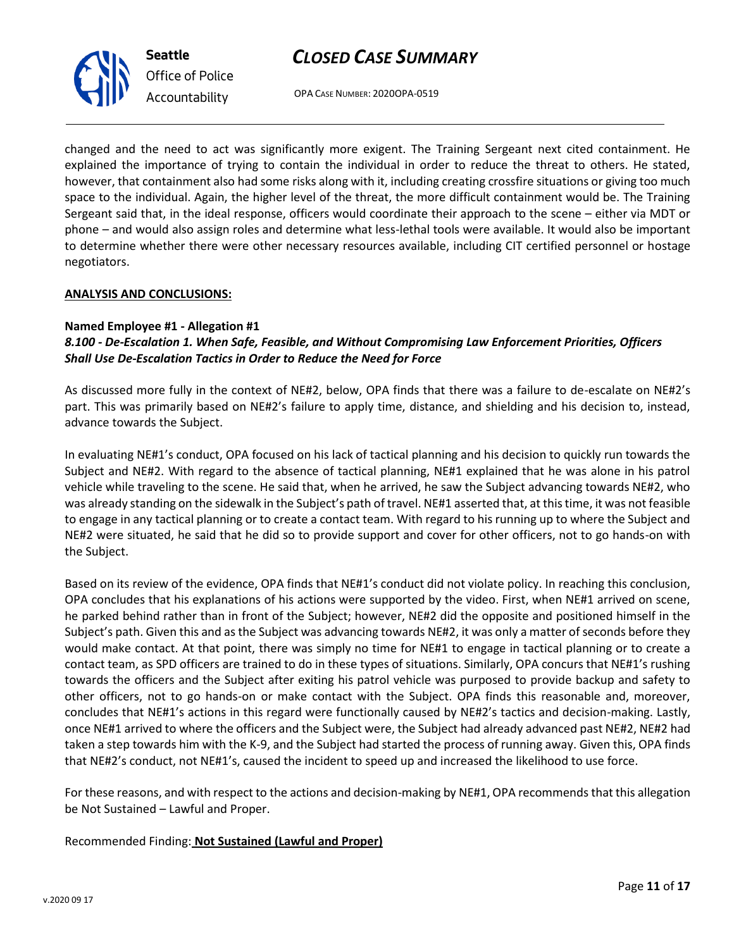OPA CASE NUMBER: 2020OPA-0519

changed and the need to act was significantly more exigent. The Training Sergeant next cited containment. He explained the importance of trying to contain the individual in order to reduce the threat to others. He stated, however, that containment also had some risks along with it, including creating crossfire situations or giving too much space to the individual. Again, the higher level of the threat, the more difficult containment would be. The Training Sergeant said that, in the ideal response, officers would coordinate their approach to the scene – either via MDT or phone – and would also assign roles and determine what less-lethal tools were available. It would also be important to determine whether there were other necessary resources available, including CIT certified personnel or hostage negotiators.

#### **ANALYSIS AND CONCLUSIONS:**

#### **Named Employee #1 - Allegation #1**

#### *8.100 - De-Escalation 1. When Safe, Feasible, and Without Compromising Law Enforcement Priorities, Officers Shall Use De-Escalation Tactics in Order to Reduce the Need for Force*

As discussed more fully in the context of NE#2, below, OPA finds that there was a failure to de-escalate on NE#2's part. This was primarily based on NE#2's failure to apply time, distance, and shielding and his decision to, instead, advance towards the Subject.

In evaluating NE#1's conduct, OPA focused on his lack of tactical planning and his decision to quickly run towards the Subject and NE#2. With regard to the absence of tactical planning, NE#1 explained that he was alone in his patrol vehicle while traveling to the scene. He said that, when he arrived, he saw the Subject advancing towards NE#2, who was already standing on the sidewalk in the Subject's path of travel. NE#1 asserted that, at this time, it was not feasible to engage in any tactical planning or to create a contact team. With regard to his running up to where the Subject and NE#2 were situated, he said that he did so to provide support and cover for other officers, not to go hands-on with the Subject.

Based on its review of the evidence, OPA finds that NE#1's conduct did not violate policy. In reaching this conclusion, OPA concludes that his explanations of his actions were supported by the video. First, when NE#1 arrived on scene, he parked behind rather than in front of the Subject; however, NE#2 did the opposite and positioned himself in the Subject's path. Given this and as the Subject was advancing towards NE#2, it was only a matter of seconds before they would make contact. At that point, there was simply no time for NE#1 to engage in tactical planning or to create a contact team, as SPD officers are trained to do in these types of situations. Similarly, OPA concurs that NE#1's rushing towards the officers and the Subject after exiting his patrol vehicle was purposed to provide backup and safety to other officers, not to go hands-on or make contact with the Subject. OPA finds this reasonable and, moreover, concludes that NE#1's actions in this regard were functionally caused by NE#2's tactics and decision-making. Lastly, once NE#1 arrived to where the officers and the Subject were, the Subject had already advanced past NE#2, NE#2 had taken a step towards him with the K-9, and the Subject had started the process of running away. Given this, OPA finds that NE#2's conduct, not NE#1's, caused the incident to speed up and increased the likelihood to use force.

For these reasons, and with respect to the actions and decision-making by NE#1, OPA recommends that this allegation be Not Sustained – Lawful and Proper.

Recommended Finding: **Not Sustained (Lawful and Proper)**



**Seattle** *Office of Police Accountability*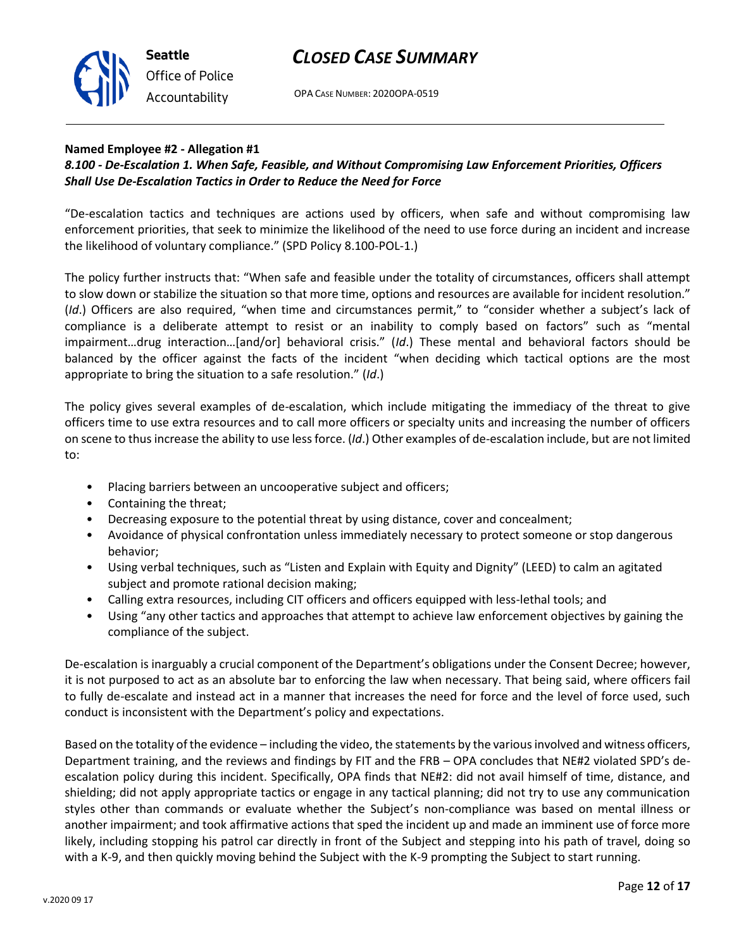Based on the totality of the evidence – including the video, the statements by the various involved and witness officers, Department training, and the reviews and findings by FIT and the FRB – OPA concludes that NE#2 violated SPD's deescalation policy during this incident. Specifically, OPA finds that NE#2: did not avail himself of time, distance, and shielding; did not apply appropriate tactics or engage in any tactical planning; did not try to use any communication styles other than commands or evaluate whether the Subject's non-compliance was based on mental illness or another impairment; and took affirmative actions that sped the incident up and made an imminent use of force more likely, including stopping his patrol car directly in front of the Subject and stepping into his path of travel, doing so with a K-9, and then quickly moving behind the Subject with the K-9 prompting the Subject to start running.

### *CLOSED CASE SUMMARY*

OPA CASE NUMBER: 2020OPA-0519

#### **Named Employee #2 - Allegation #1**

**Seattle**

*Office of Police*

*Accountability*

#### *8.100 - De-Escalation 1. When Safe, Feasible, and Without Compromising Law Enforcement Priorities, Officers Shall Use De-Escalation Tactics in Order to Reduce the Need for Force*

"De-escalation tactics and techniques are actions used by officers, when safe and without compromising law enforcement priorities, that seek to minimize the likelihood of the need to use force during an incident and increase the likelihood of voluntary compliance." (SPD Policy 8.100-POL-1.)

The policy further instructs that: "When safe and feasible under the totality of circumstances, officers shall attempt to slow down or stabilize the situation so that more time, options and resources are available for incident resolution." (*Id*.) Officers are also required, "when time and circumstances permit," to "consider whether a subject's lack of compliance is a deliberate attempt to resist or an inability to comply based on factors" such as "mental impairment…drug interaction…[and/or] behavioral crisis." (*Id*.) These mental and behavioral factors should be balanced by the officer against the facts of the incident "when deciding which tactical options are the most appropriate to bring the situation to a safe resolution." (*Id*.)

The policy gives several examples of de-escalation, which include mitigating the immediacy of the threat to give officers time to use extra resources and to call more officers or specialty units and increasing the number of officers on scene to thus increase the ability to use less force. (*Id*.) Other examples of de-escalation include, but are not limited to:

• Placing barriers between an uncooperative subject and officers;

conduct is inconsistent with the Department's policy and expectations.

- Containing the threat;
- Decreasing exposure to the potential threat by using distance, cover and concealment;
- Avoidance of physical confrontation unless immediately necessary to protect someone or stop dangerous behavior;
- Using verbal techniques, such as "Listen and Explain with Equity and Dignity" (LEED) to calm an agitated subject and promote rational decision making;
- Calling extra resources, including CIT officers and officers equipped with less-lethal tools; and
- Using "any other tactics and approaches that attempt to achieve law enforcement objectives by gaining the compliance of the subject.

De-escalation is inarguably a crucial component of the Department's obligations under the Consent Decree; however, it is not purposed to act as an absolute bar to enforcing the law when necessary. That being said, where officers fail to fully de-escalate and instead act in a manner that increases the need for force and the level of force used, such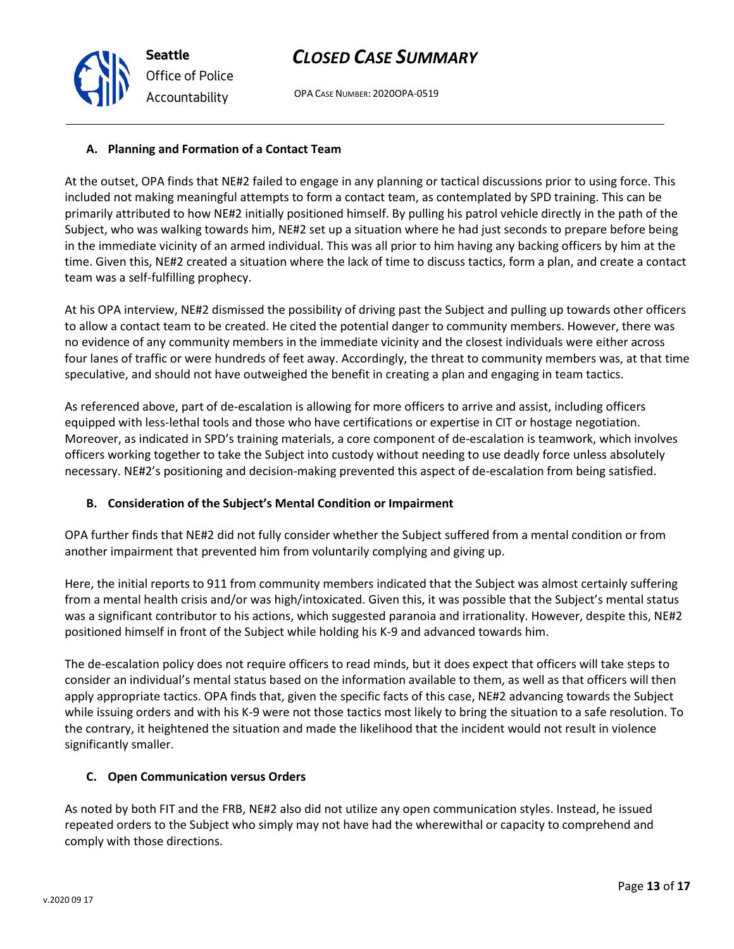At the outset, OPA finds that NE#2 failed to engage in any planning or tactical discussions prior to using force. This included not making meaningful attempts to form a contact team, as contemplated by SPD training. This can be primarily attributed to how NE#2 initially positioned himself. By pulling his patrol vehicle directly in the path of the Subject, who was walking towards him, NE#2 set up a situation where he had just seconds to prepare before being in the immediate vicinity of an armed individual. This was all prior to him having any backing officers by him at the time. Given this, NE#2 created a situation where the lack of time to discuss tactics, form a plan, and create a contact team was a self-fulfilling prophecy.

At his OPA interview, NE#2 dismissed the possibility of driving past the Subject and pulling up towards other officers to allow a contact team to be created. He cited the potential danger to community members. However, there was no evidence of any community members in the immediate vicinity and the closest individuals were either across four lanes of traffic or were hundreds of feet away. Accordingly, the threat to community members was, at that time speculative, and should not have outweighed the benefit in creating a plan and engaging in team tactics.

As referenced above, part of de-escalation is allowing for more officers to arrive and assist, including officers equipped with less-lethal tools and those who have certifications or expertise in CIT or hostage negotiation. Moreover, as indicated in SPD's training materials, a core component of de-escalation is teamwork, which involves officers working together to take the Subject into custody without needing to use deadly force unless absolutely necessary. NE#2's positioning and decision-making prevented this aspect of de-escalation from being satisfied.

#### **B. Consideration of the Subject's Mental Condition or Impairment**

OPA further finds that NE#2 did not fully consider whether the Subject suffered from a mental condition or from another impairment that prevented him from voluntarily complying and giving up.

Here, the initial reports to 911 from community members indicated that the Subject was almost certainly suffering from a mental health crisis and/or was high/intoxicated. Given this, it was possible that the Subject's mental status was a significant contributor to his actions, which suggested paranoia and irrationality. However, despite this, NE#2 positioned himself in front of the Subject while holding his K-9 and advanced towards him.

The de-escalation policy does not require officers to read minds, but it does expect that officers will take steps to consider an individual's mental status based on the information available to them, as well as that officers will then apply appropriate tactics. OPA finds that, given the specific facts of this case, NE#2 advancing towards the Subject while issuing orders and with his K-9 were not those tactics most likely to bring the situation to a safe resolution. To the contrary, it heightened the situation and made the likelihood that the incident would not result in violence significantly smaller.

#### **C. Open Communication versus Orders**

As noted by both FIT and the FRB, NE#2 also did not utilize any open communication styles. Instead, he issued repeated orders to the Subject who simply may not have had the wherewithal or capacity to comprehend and comply with those directions.

OPA CASE NUMBER: 2020OPA-0519



**Seattle**

*Accountability*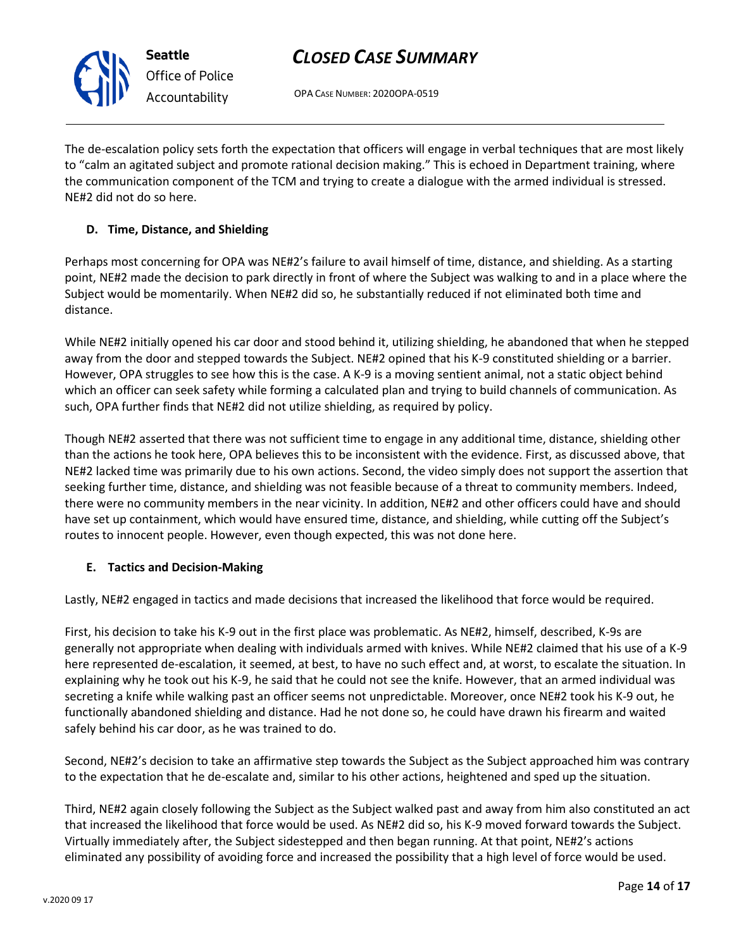OPA CASE NUMBER: 2020OPA-0519

The de-escalation policy sets forth the expectation that officers will engage in verbal techniques that are most likely to "calm an agitated subject and promote rational decision making." This is echoed in Department training, where the communication component of the TCM and trying to create a dialogue with the armed individual is stressed. NE#2 did not do so here.

#### **D. Time, Distance, and Shielding**

Perhaps most concerning for OPA was NE#2's failure to avail himself of time, distance, and shielding. As a starting point, NE#2 made the decision to park directly in front of where the Subject was walking to and in a place where the Subject would be momentarily. When NE#2 did so, he substantially reduced if not eliminated both time and distance.

While NE#2 initially opened his car door and stood behind it, utilizing shielding, he abandoned that when he stepped away from the door and stepped towards the Subject. NE#2 opined that his K-9 constituted shielding or a barrier. However, OPA struggles to see how this is the case. A K-9 is a moving sentient animal, not a static object behind which an officer can seek safety while forming a calculated plan and trying to build channels of communication. As such, OPA further finds that NE#2 did not utilize shielding, as required by policy.

Though NE#2 asserted that there was not sufficient time to engage in any additional time, distance, shielding other than the actions he took here, OPA believes this to be inconsistent with the evidence. First, as discussed above, that NE#2 lacked time was primarily due to his own actions. Second, the video simply does not support the assertion that seeking further time, distance, and shielding was not feasible because of a threat to community members. Indeed, there were no community members in the near vicinity. In addition, NE#2 and other officers could have and should have set up containment, which would have ensured time, distance, and shielding, while cutting off the Subject's routes to innocent people. However, even though expected, this was not done here.

#### **E. Tactics and Decision-Making**

Lastly, NE#2 engaged in tactics and made decisions that increased the likelihood that force would be required.

First, his decision to take his K-9 out in the first place was problematic. As NE#2, himself, described, K-9s are generally not appropriate when dealing with individuals armed with knives. While NE#2 claimed that his use of a K-9 here represented de-escalation, it seemed, at best, to have no such effect and, at worst, to escalate the situation. In explaining why he took out his K-9, he said that he could not see the knife. However, that an armed individual was secreting a knife while walking past an officer seems not unpredictable. Moreover, once NE#2 took his K-9 out, he functionally abandoned shielding and distance. Had he not done so, he could have drawn his firearm and waited safely behind his car door, as he was trained to do.

Second, NE#2's decision to take an affirmative step towards the Subject as the Subject approached him was contrary to the expectation that he de-escalate and, similar to his other actions, heightened and sped up the situation.

Third, NE#2 again closely following the Subject as the Subject walked past and away from him also constituted an act that increased the likelihood that force would be used. As NE#2 did so, his K-9 moved forward towards the Subject. Virtually immediately after, the Subject sidestepped and then began running. At that point, NE#2's actions eliminated any possibility of avoiding force and increased the possibility that a high level of force would be used.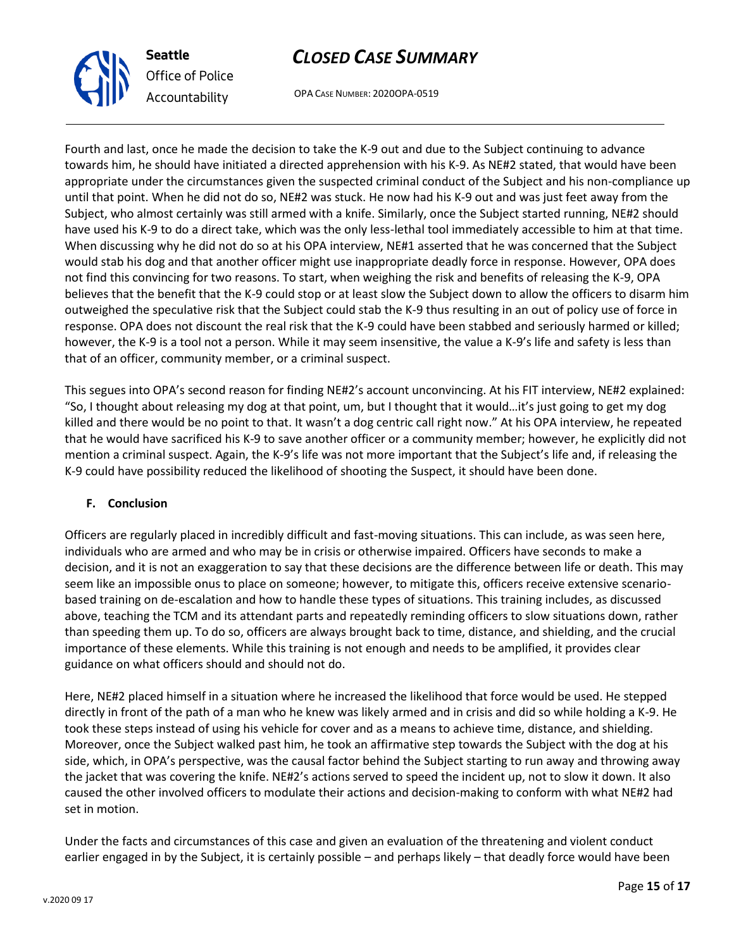

OPA CASE NUMBER: 2020OPA-0519

Fourth and last, once he made the decision to take the K-9 out and due to the Subject continuing to advance towards him, he should have initiated a directed apprehension with his K-9. As NE#2 stated, that would have been appropriate under the circumstances given the suspected criminal conduct of the Subject and his non-compliance up until that point. When he did not do so, NE#2 was stuck. He now had his K-9 out and was just feet away from the Subject, who almost certainly was still armed with a knife. Similarly, once the Subject started running, NE#2 should have used his K-9 to do a direct take, which was the only less-lethal tool immediately accessible to him at that time. When discussing why he did not do so at his OPA interview, NE#1 asserted that he was concerned that the Subject would stab his dog and that another officer might use inappropriate deadly force in response. However, OPA does not find this convincing for two reasons. To start, when weighing the risk and benefits of releasing the K-9, OPA believes that the benefit that the K-9 could stop or at least slow the Subject down to allow the officers to disarm him outweighed the speculative risk that the Subject could stab the K-9 thus resulting in an out of policy use of force in response. OPA does not discount the real risk that the K-9 could have been stabbed and seriously harmed or killed; however, the K-9 is a tool not a person. While it may seem insensitive, the value a K-9's life and safety is less than that of an officer, community member, or a criminal suspect.

This segues into OPA's second reason for finding NE#2's account unconvincing. At his FIT interview, NE#2 explained: "So, I thought about releasing my dog at that point, um, but I thought that it would…it's just going to get my dog killed and there would be no point to that. It wasn't a dog centric call right now." At his OPA interview, he repeated that he would have sacrificed his K-9 to save another officer or a community member; however, he explicitly did not mention a criminal suspect. Again, the K-9's life was not more important that the Subject's life and, if releasing the K-9 could have possibility reduced the likelihood of shooting the Suspect, it should have been done.

#### **F. Conclusion**

Officers are regularly placed in incredibly difficult and fast-moving situations. This can include, as was seen here, individuals who are armed and who may be in crisis or otherwise impaired. Officers have seconds to make a decision, and it is not an exaggeration to say that these decisions are the difference between life or death. This may seem like an impossible onus to place on someone; however, to mitigate this, officers receive extensive scenariobased training on de-escalation and how to handle these types of situations. This training includes, as discussed above, teaching the TCM and its attendant parts and repeatedly reminding officers to slow situations down, rather than speeding them up. To do so, officers are always brought back to time, distance, and shielding, and the crucial importance of these elements. While this training is not enough and needs to be amplified, it provides clear guidance on what officers should and should not do.

Here, NE#2 placed himself in a situation where he increased the likelihood that force would be used. He stepped directly in front of the path of a man who he knew was likely armed and in crisis and did so while holding a K-9. He took these steps instead of using his vehicle for cover and as a means to achieve time, distance, and shielding. Moreover, once the Subject walked past him, he took an affirmative step towards the Subject with the dog at his side, which, in OPA's perspective, was the causal factor behind the Subject starting to run away and throwing away the jacket that was covering the knife. NE#2's actions served to speed the incident up, not to slow it down. It also caused the other involved officers to modulate their actions and decision-making to conform with what NE#2 had set in motion.

Under the facts and circumstances of this case and given an evaluation of the threatening and violent conduct earlier engaged in by the Subject, it is certainly possible – and perhaps likely – that deadly force would have been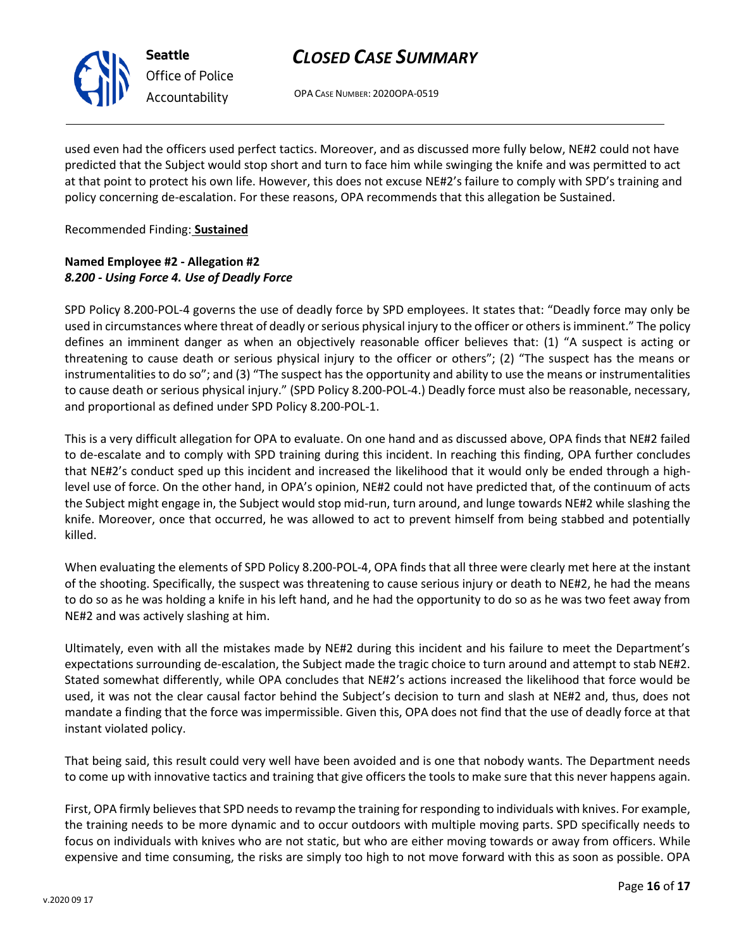

OPA CASE NUMBER: 2020OPA-0519

used even had the officers used perfect tactics. Moreover, and as discussed more fully below, NE#2 could not have predicted that the Subject would stop short and turn to face him while swinging the knife and was permitted to act at that point to protect his own life. However, this does not excuse NE#2's failure to comply with SPD's training and policy concerning de-escalation. For these reasons, OPA recommends that this allegation be Sustained.

#### Recommended Finding: **Sustained**

#### **Named Employee #2 - Allegation #2** *8.200 - Using Force 4. Use of Deadly Force*

SPD Policy 8.200-POL-4 governs the use of deadly force by SPD employees. It states that: "Deadly force may only be used in circumstances where threat of deadly or serious physical injury to the officer or others is imminent." The policy defines an imminent danger as when an objectively reasonable officer believes that: (1) "A suspect is acting or threatening to cause death or serious physical injury to the officer or others"; (2) "The suspect has the means or instrumentalities to do so"; and (3) "The suspect has the opportunity and ability to use the means or instrumentalities to cause death or serious physical injury." (SPD Policy 8.200-POL-4.) Deadly force must also be reasonable, necessary, and proportional as defined under SPD Policy 8.200-POL-1.

This is a very difficult allegation for OPA to evaluate. On one hand and as discussed above, OPA finds that NE#2 failed to de-escalate and to comply with SPD training during this incident. In reaching this finding, OPA further concludes that NE#2's conduct sped up this incident and increased the likelihood that it would only be ended through a highlevel use of force. On the other hand, in OPA's opinion, NE#2 could not have predicted that, of the continuum of acts the Subject might engage in, the Subject would stop mid-run, turn around, and lunge towards NE#2 while slashing the knife. Moreover, once that occurred, he was allowed to act to prevent himself from being stabbed and potentially killed.

When evaluating the elements of SPD Policy 8.200-POL-4, OPA finds that all three were clearly met here at the instant of the shooting. Specifically, the suspect was threatening to cause serious injury or death to NE#2, he had the means to do so as he was holding a knife in his left hand, and he had the opportunity to do so as he was two feet away from NE#2 and was actively slashing at him.

Ultimately, even with all the mistakes made by NE#2 during this incident and his failure to meet the Department's expectations surrounding de-escalation, the Subject made the tragic choice to turn around and attempt to stab NE#2. Stated somewhat differently, while OPA concludes that NE#2's actions increased the likelihood that force would be used, it was not the clear causal factor behind the Subject's decision to turn and slash at NE#2 and, thus, does not mandate a finding that the force was impermissible. Given this, OPA does not find that the use of deadly force at that instant violated policy.

That being said, this result could very well have been avoided and is one that nobody wants. The Department needs to come up with innovative tactics and training that give officers the tools to make sure that this never happens again.

First, OPA firmly believes that SPD needs to revamp the training for responding to individuals with knives. For example, the training needs to be more dynamic and to occur outdoors with multiple moving parts. SPD specifically needs to focus on individuals with knives who are not static, but who are either moving towards or away from officers. While expensive and time consuming, the risks are simply too high to not move forward with this as soon as possible. OPA